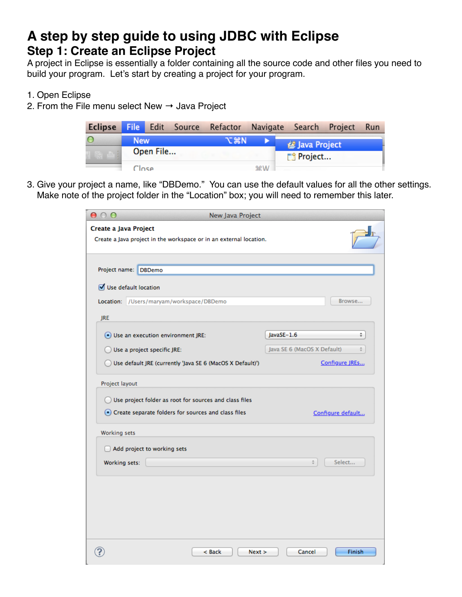# **A step by step guide to using JDBC with Eclipse Step 1: Create an Eclipse Project**

A project in Eclipse is essentially a folder containing all the source code and other files you need to build your program. Let's start by creating a project for your program.

- 1. Open Eclipse
- 2. From the File menu select New  $\rightarrow$  Java Project

|            |  |  |     |         | Eclipse File Edit Source Refactor Navigate Search Project Run |  |  |  |
|------------|--|--|-----|---------|---------------------------------------------------------------|--|--|--|
| <b>New</b> |  |  | てまN |         | <b>参 Java Project</b>                                         |  |  |  |
| Open File  |  |  |     |         | □ Project                                                     |  |  |  |
| Close      |  |  |     | $9P$ M/ |                                                               |  |  |  |

3. Give your project a name, like "DBDemo." You can use the default values for all the other settings. Make note of the project folder in the "Location" box; you will need to remember this later.

| 000                   |                                                                    | <b>New Java Project</b> |                             |                   |
|-----------------------|--------------------------------------------------------------------|-------------------------|-----------------------------|-------------------|
| Create a Java Project | Create a Java project in the workspace or in an external location. |                         |                             |                   |
|                       |                                                                    |                         |                             |                   |
| Project name:         | <b>DBDemo</b>                                                      |                         |                             |                   |
|                       | Use default location                                               |                         |                             |                   |
|                       | Location: /Users/maryam/workspace/DBDemo                           |                         |                             | Browse            |
| <b>JRE</b>            |                                                                    |                         |                             |                   |
|                       | · Use an execution environment JRE:                                |                         | JavaSE-1.6                  | ÷.                |
|                       | Use a project specific JRE:                                        |                         | Java SE 6 (MacOS X Default) |                   |
|                       | Use default JRE (currently 'Java SE 6 (MacOS X Default)')          |                         |                             | Configure JREs    |
| Project layout        |                                                                    |                         |                             |                   |
|                       | O Use project folder as root for sources and class files           |                         |                             |                   |
|                       | • Create separate folders for sources and class files              |                         |                             | Configure default |
| Working sets          |                                                                    |                         |                             |                   |
|                       | Add project to working sets                                        |                         |                             |                   |
| Working sets:         |                                                                    |                         | ÷                           | Select            |
|                       |                                                                    |                         |                             |                   |
|                       |                                                                    |                         |                             |                   |
|                       |                                                                    |                         |                             |                   |
|                       |                                                                    |                         |                             |                   |
|                       |                                                                    | < Back<br>Next          | Cancel                      | Finish            |
|                       |                                                                    |                         |                             |                   |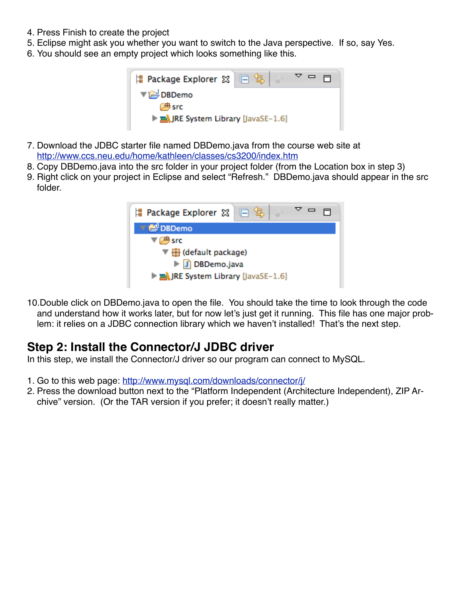- 4. Press Finish to create the project
- 5. Eclipse might ask you whether you want to switch to the Java perspective. If so, say Yes.
- 6. You should see an empty project which looks something like this.



- 7. Download the JDBC starter file named DBDemo.java from the course web site at <http://www.ccs.neu.edu/home/kathleen/classes/cs3200/index.htm>
- 8. Copy DBDemo.java into the src folder in your project folder (from the Location box in step 3)
- 9. Right click on your project in Eclipse and select "Refresh." DBDemo.java should appear in the src folder.



10.Double click on DBDemo.java to open the file. You should take the time to look through the code and understand how it works later, but for now let's just get it running. This file has one major problem: it relies on a JDBC connection library which we haven't installed! That's the next step.

## **Step 2: Install the Connector/J JDBC driver**

In this step, we install the Connector/J driver so our program can connect to MySQL.

- 1. Go to this web page:<http://www.mysql.com/downloads/connector/j/>
- 2. Press the download button next to the "Platform Independent (Architecture Independent), ZIP Archive" version. (Or the TAR version if you prefer; it doesn't really matter.)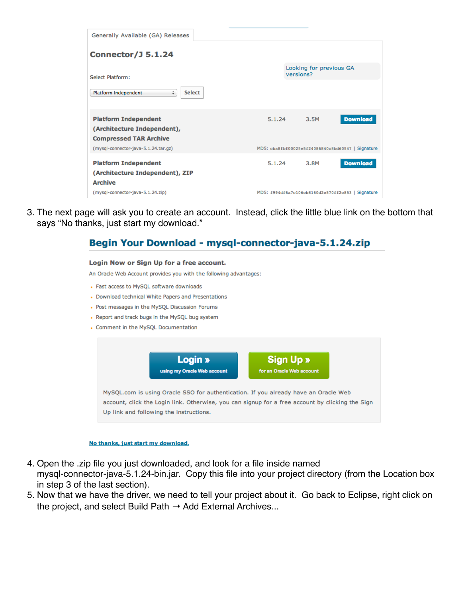| Generally Available (GA) Releases                                     |                                                   |  |
|-----------------------------------------------------------------------|---------------------------------------------------|--|
|                                                                       |                                                   |  |
| <b>Connector/J 5.1.24</b>                                             |                                                   |  |
|                                                                       | Looking for previous GA<br>versions?              |  |
| Select Platform:                                                      |                                                   |  |
| <b>Select</b><br>Platform Independent<br>÷                            |                                                   |  |
|                                                                       |                                                   |  |
| <b>Platform Independent</b>                                           | <b>Download</b><br>5.1.24<br>3.5M                 |  |
| (Architecture Independent),                                           |                                                   |  |
| <b>Compressed TAR Archive</b><br>(mysql-connector-java-5.1.24.tar.gz) | MD5: cba8fbf00025e5f24086840c8bd60547   Signature |  |
|                                                                       |                                                   |  |
| <b>Platform Independent</b>                                           | <b>Download</b><br>5.1.24<br>3.8M                 |  |
| (Architecture Independent), ZIP                                       |                                                   |  |
| <b>Archive</b><br>(mysql-connector-java-5.1.24.zip)                   | MD5: f994df6a7c106eb8160d2e570ff2c853   Signature |  |

3. The next page will ask you to create an account. Instead, click the little blue link on the bottom that says "No thanks, just start my download."

### Begin Your Download - mysql-connector-java-5.1.24.zip

#### Login Now or Sign Up for a free account.

An Oracle Web Account provides you with the following advantages:

- Fast access to MySQL software downloads
- Download technical White Papers and Presentations
- Post messages in the MySQL Discussion Forums
- Report and track bugs in the MySQL bug system
- Comment in the MySQL Documentation



#### No thanks, just start my download.

4. Open the .zip file you just downloaded, and look for a file inside named

mysql-connector-java-5.1.24-bin.jar. Copy this file into your project directory (from the Location box in step 3 of the last section).

5. Now that we have the driver, we need to tell your project about it. Go back to Eclipse, right click on the project, and select Build Path  $\rightarrow$  Add External Archives...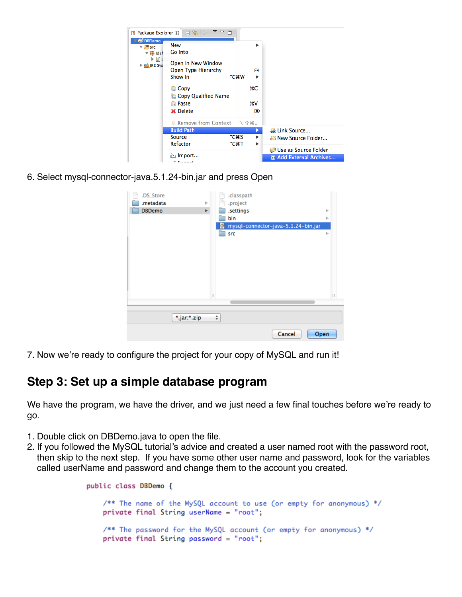| 壖                                                                                                                                           | Package Explorer 8 日 9                                                           | $\Box$            |               |                                                   |
|---------------------------------------------------------------------------------------------------------------------------------------------|----------------------------------------------------------------------------------|-------------------|---------------|---------------------------------------------------|
| <b>N</b> DBDemo<br>$\nabla \Box B$ src<br>$\overline{\mathbf{v}}$ $\overline{\mathbf{H}}$ (def<br>⊧ ⊓≀<br>$\triangleright$ $\equiv$ JRE Sys | New<br><b>Go Into</b>                                                            |                   | ь             |                                                   |
|                                                                                                                                             | Open in New Window<br>Open Type Hierarchy<br>Show In                             | <b>N</b> 35       | F4<br>▶       |                                                   |
|                                                                                                                                             | <b>Copy</b><br><b>E</b> Copy Qualified Name<br><b>■ Paste</b><br><b>X</b> Delete |                   | жC<br>жV<br>⊠ |                                                   |
|                                                                                                                                             |                                                                                  |                   |               |                                                   |
|                                                                                                                                             | <b>Build Path</b>                                                                |                   | 編 Link Source |                                                   |
|                                                                                                                                             | <b>Source</b><br>Refactor                                                        | <b>NBS</b><br>てまて | Þ.<br>▶       | <b>A New Source Folder</b>                        |
|                                                                                                                                             | inport… الظ<br>2. Expendit                                                       |                   |               | 體 Use as Source Folder<br>a Add External Archives |

6. Select mysql-connector-java.5.1.24-bin.jar and press Open

| .DS_Store     |              |   | .classpath                          |    |              |
|---------------|--------------|---|-------------------------------------|----|--------------|
| .metadata     | Þ            |   | .project                            |    |              |
| <b>DBDemo</b> | Þ            |   | .settings                           | b- |              |
|               |              |   | bin                                 | þ. |              |
|               |              | e | mysql-connector-java-5.1.24-bin.jar |    |              |
|               |              |   | src                                 | Þ  |              |
|               |              |   |                                     |    |              |
|               |              |   |                                     |    |              |
|               |              |   |                                     |    |              |
|               |              |   |                                     |    |              |
|               |              |   |                                     |    |              |
|               |              |   |                                     |    |              |
|               |              |   |                                     |    |              |
|               | $\mathbb{H}$ |   |                                     |    | $\mathbf{H}$ |
|               |              |   |                                     |    |              |
|               |              |   |                                     |    |              |
| *.jar;*.zip   |              | ÷ |                                     |    |              |
|               |              |   |                                     |    |              |
|               |              |   | Cancel<br>Open                      |    |              |

7. Now we're ready to configure the project for your copy of MySQL and run it!

# **Step 3: Set up a simple database program**

We have the program, we have the driver, and we just need a few final touches before we're ready to go.

- 1. Double click on DBDemo.java to open the file.
- 2. If you followed the MySQL tutorial's advice and created a user named root with the password root, then skip to the next step. If you have some other user name and password, look for the variables called userName and password and change them to the account you created.

```
public class DBDemo {
    /** The name of the MySQL account to use (or empty for anonymous) */
    private final String userName = "root";
    /** The password for the MySQL account (or empty for anonymous) */
    private final String password = "root";
```